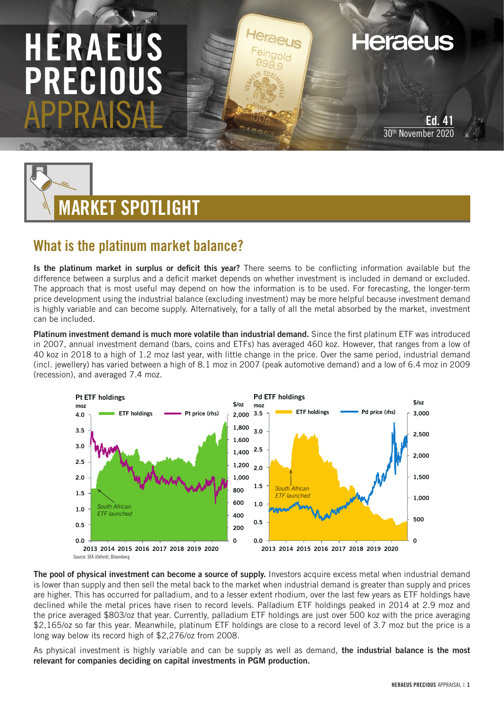## HERAEUS PRECIO APPRAISAL

Ed. 30th November 2020

**Heraeus** 



## What is the platinum market balance?

Is the platinum market in surplus or deficit this year? There seems to be conflicting information available but the difference between a surplus and a deficit market depends on whether investment is included in demand or excluded. The approach that is most useful may depend on how the information is to be used. For forecasting, the longer-term price development using the industrial balance (excluding investment) may be more helpful because investment demand is highly variable and can become supply. Alternatively, for a tally of all the metal absorbed by the market, investment can be included.

Platinum investment demand is much more volatile than industrial demand. Since the first platinum ETF was introduced in 2007, annual investment demand (bars, coins and ETFs) has averaged 460 koz. However, that ranges from a low of 40 koz in 2018 to a high of 1.2 moz last year, with little change in the price. Over the same period, industrial demand (incl. jewellery) has varied between a high of 8.1 moz in 2007 (peak automotive demand) and a low of 6.4 moz in 2009 (recession), and averaged 7.4 moz.



The pool of physical investment can become a source of supply. Investors acquire excess metal when industrial demand is lower than supply and then sell the metal back to the market when industrial demand is greater than supply and prices are higher. This has occurred for palladium, and to a lesser extent rhodium, over the last few years as ETF holdings have declined while the metal prices have risen to record levels. Palladium ETF holdings peaked in 2014 at 2.9 moz and the price averaged \$803/oz that year. Currently, palladium ETF holdings are just over 500 koz with the price averaging \$2,165/oz so far this year. Meanwhile, platinum ETF holdings are close to a record level of 3.7 moz but the price is a long way below its record high of \$2,276/oz from 2008.

As physical investment is highly variable and can be supply as well as demand, the industrial balance is the most relevant for companies deciding on capital investments in PGM production.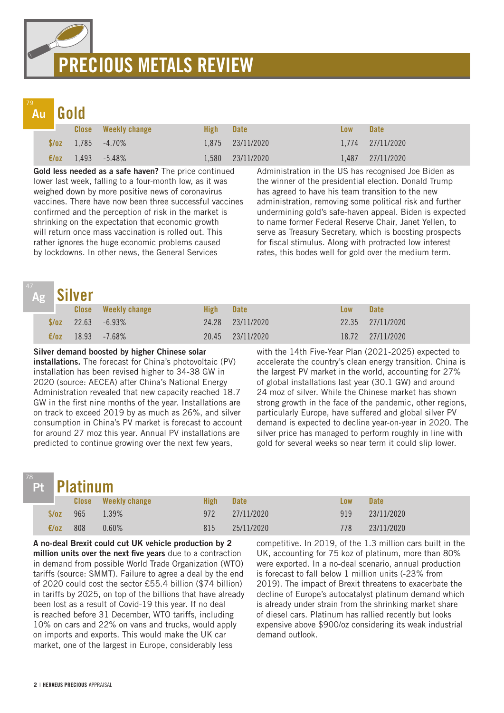## PRECIOUS METALS REVIEW

## Au

Gold

|  | <b>Close</b> Weekly change       | High | <b>Date</b>      | Low | <b>Date</b>      |
|--|----------------------------------|------|------------------|-----|------------------|
|  | $\sqrt{2}$ 1.785 -4.70%          |      | 1,875 23/11/2020 |     | 1,774 27/11/2020 |
|  | $\epsilon/\sigma$ z 1,493 -5.48% |      | 1.580 23/11/2020 |     | 1.487 27/11/2020 |

Gold less needed as a safe haven? The price continued lower last week, falling to a four-month low, as it was weighed down by more positive news of coronavirus vaccines. There have now been three successful vaccines confirmed and the perception of risk in the market is shrinking on the expectation that economic growth will return once mass vaccination is rolled out. This rather ignores the huge economic problems caused by lockdowns. In other news, the General Services

Administration in the US has recognised Joe Biden as the winner of the presidential election. Donald Trump has agreed to have his team transition to the new administration, removing some political risk and further undermining gold's safe-haven appeal. Biden is expected to name former Federal Reserve Chair, Janet Yellen, to serve as Treasury Secretary, which is boosting prospects for fiscal stimulus. Along with protracted low interest rates, this bodes well for gold over the medium term.

|                | <sup>47</sup> Ag Silver |                             |             |                  |     |                      |
|----------------|-------------------------|-----------------------------|-------------|------------------|-----|----------------------|
|                |                         | <b>Close</b> Weekly change  | <b>High</b> | <b>Date</b>      | Low | <b>Date</b>          |
|                |                         | $\sqrt[6]{oz}$ 22.63 -6.93% |             | 24.28 23/11/2020 |     | 22.35 27/11/2020     |
| $\epsilon$ /oz |                         | 18.93 -7.68%                |             | 20.45 23/11/2020 |     | $18.72$ $27/11/2020$ |

### Silver demand boosted by higher Chinese solar

installations. The forecast for China's photovoltaic (PV) installation has been revised higher to 34-38 GW in 2020 (source: AECEA) after China's National Energy Administration revealed that new capacity reached 18.7 GW in the first nine months of the year. Installations are on track to exceed 2019 by as much as 26%, and silver consumption in China's PV market is forecast to account for around 27 moz this year. Annual PV installations are predicted to continue growing over the next few years,

with the 14th Five-Year Plan (2021-2025) expected to accelerate the country's clean energy transition. China is the largest PV market in the world, accounting for 27% of global installations last year (30.1 GW) and around 24 moz of silver. While the Chinese market has shown strong growth in the face of the pandemic, other regions, particularly Europe, have suffered and global silver PV demand is expected to decline year-on-year in 2020. The silver price has managed to perform roughly in line with gold for several weeks so near term it could slip lower.

## Pt

|                | Pt Platinum |                            |             |             |     |             |  |  |
|----------------|-------------|----------------------------|-------------|-------------|-----|-------------|--|--|
|                |             | <b>Close</b> Weekly change | <b>High</b> | <b>Date</b> | Low | <b>Date</b> |  |  |
| S/OZ           | 965         | $1.39\%$                   | 972         | 27/11/2020  | 919 | 23/11/2020  |  |  |
| $\epsilon$ /oz | 808         | $0.60\%$                   | 815         | 25/11/2020  | 778 | 23/11/2020  |  |  |

A no-deal Brexit could cut UK vehicle production by 2 million units over the next five vears due to a contraction in demand from possible World Trade Organization (WTO) tariffs (source: SMMT). Failure to agree a deal by the end of 2020 could cost the sector £55.4 billion (\$74 billion) in tariffs by 2025, on top of the billions that have already been lost as a result of Covid-19 this year. If no deal is reached before 31 December, WTO tariffs, including 10% on cars and 22% on vans and trucks, would apply on imports and exports. This would make the UK car market, one of the largest in Europe, considerably less

competitive. In 2019, of the 1.3 million cars built in the UK, accounting for 75 koz of platinum, more than 80% were exported. In a no-deal scenario, annual production is forecast to fall below 1 million units (-23% from 2019). The impact of Brexit threatens to exacerbate the decline of Europe's autocatalyst platinum demand which is already under strain from the shrinking market share of diesel cars. Platinum has rallied recently but looks expensive above \$900/oz considering its weak industrial demand outlook.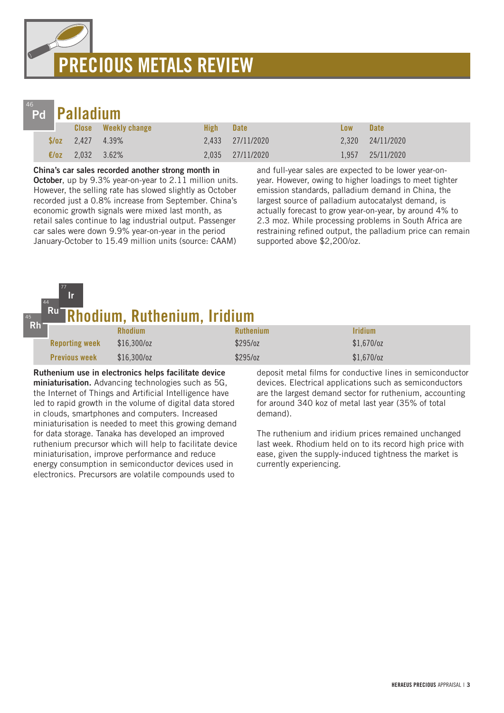# PRECIOUS METALS REVIEW



77 Ir

|                | Pd <b>Palladium</b>  |                            |      |                  |            |                  |  |  |
|----------------|----------------------|----------------------------|------|------------------|------------|------------------|--|--|
|                |                      | <b>Close</b> Weekly change | High | <b>Date</b>      | <b>Low</b> | <b>Date</b>      |  |  |
|                | $\sqrt{2.427}$ 4.39% |                            |      | 2,433 27/11/2020 |            | 2,320 24/11/2020 |  |  |
| $\epsilon$ /0Z | 2.032 3.62%          |                            |      | 2.035 27/11/2020 |            | 1.957 25/11/2020 |  |  |

China's car sales recorded another strong month in October, up by 9.3% year-on-year to 2.11 million units. However, the selling rate has slowed slightly as October recorded just a 0.8% increase from September. China's economic growth signals were mixed last month, as retail sales continue to lag industrial output. Passenger car sales were down 9.9% year-on-year in the period

January-October to 15.49 million units (source: CAAM)

and full-year sales are expected to be lower year-onyear. However, owing to higher loadings to meet tighter emission standards, palladium demand in China, the largest source of palladium autocatalyst demand, is actually forecast to grow year-on-year, by around 4% to 2.3 moz. While processing problems in South Africa are restraining refined output, the palladium price can remain supported above \$2,200/oz.

#### <del>.</del><br>hodium, Ruthenium, Iridium 44 Ru

| Rh | _______               | ----------------- | --------------   |                              |
|----|-----------------------|-------------------|------------------|------------------------------|
|    |                       | <b>Rhodium</b>    | <b>Ruthenium</b> | <i><u><b>Iridium</b></u></i> |
|    | <b>Reporting week</b> | $$16,300$ /oz     | \$295/oz         | $$1,670$ /oz                 |
|    | <b>Previous week</b>  | $$16,300$ /oz     | \$295/oz         | $$1,670$ /oz                 |

Ruthenium use in electronics helps facilitate device miniaturisation. Advancing technologies such as 5G, the Internet of Things and Artificial Intelligence have led to rapid growth in the volume of digital data stored in clouds, smartphones and computers. Increased miniaturisation is needed to meet this growing demand for data storage. Tanaka has developed an improved ruthenium precursor which will help to facilitate device miniaturisation, improve performance and reduce energy consumption in semiconductor devices used in electronics. Precursors are volatile compounds used to

deposit metal films for conductive lines in semiconductor devices. Electrical applications such as semiconductors are the largest demand sector for ruthenium, accounting for around 340 koz of metal last year (35% of total demand).

The ruthenium and iridium prices remained unchanged last week. Rhodium held on to its record high price with ease, given the supply-induced tightness the market is currently experiencing.